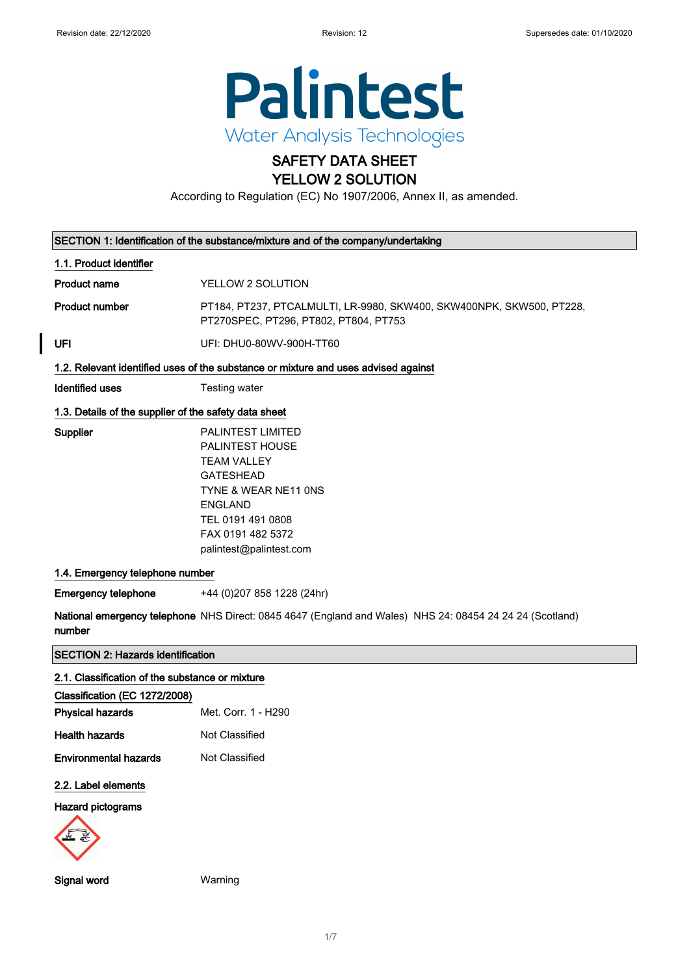$\overline{\phantom{a}}$ 



## SAFETY DATA SHEET YELLOW 2 SOLUTION

According to Regulation (EC) No 1907/2006, Annex II, as amended.

| SECTION 1: Identification of the substance/mixture and of the company/undertaking |                                                                                                                                                                                                      |
|-----------------------------------------------------------------------------------|------------------------------------------------------------------------------------------------------------------------------------------------------------------------------------------------------|
| 1.1. Product identifier                                                           |                                                                                                                                                                                                      |
| <b>Product name</b>                                                               | YELLOW 2 SOLUTION                                                                                                                                                                                    |
| <b>Product number</b>                                                             | PT184, PT237, PTCALMULTI, LR-9980, SKW400, SKW400NPK, SKW500, PT228,<br>PT270SPEC, PT296, PT802, PT804, PT753                                                                                        |
| UFI                                                                               | UFI: DHU0-80WV-900H-TT60                                                                                                                                                                             |
|                                                                                   | 1.2. Relevant identified uses of the substance or mixture and uses advised against                                                                                                                   |
| <b>Identified uses</b>                                                            | Testing water                                                                                                                                                                                        |
| 1.3. Details of the supplier of the safety data sheet                             |                                                                                                                                                                                                      |
| Supplier                                                                          | <b>PALINTEST LIMITED</b><br>PALINTEST HOUSE<br><b>TEAM VALLEY</b><br><b>GATESHEAD</b><br>TYNE & WEAR NE11 ONS<br><b>ENGLAND</b><br>TEL 0191 491 0808<br>FAX 0191 482 5372<br>palintest@palintest.com |
| 1.4. Emergency telephone number                                                   |                                                                                                                                                                                                      |
| <b>Emergency telephone</b>                                                        | +44 (0)207 858 1228 (24hr)                                                                                                                                                                           |
| number                                                                            | National emergency telephone NHS Direct: 0845 4647 (England and Wales) NHS 24: 08454 24 24 24 (Scotland)                                                                                             |
| <b>SECTION 2: Hazards identification</b>                                          |                                                                                                                                                                                                      |
| 2.1. Classification of the substance or mixture                                   |                                                                                                                                                                                                      |
| Classification (EC 1272/2008)                                                     |                                                                                                                                                                                                      |
| <b>Physical hazards</b>                                                           | Met. Corr. 1 - H290                                                                                                                                                                                  |
| <b>Health hazards</b>                                                             | Not Classified                                                                                                                                                                                       |
| <b>Environmental hazards</b>                                                      | Not Classified                                                                                                                                                                                       |
| 2.2. Label elements                                                               |                                                                                                                                                                                                      |
| <b>Hazard pictograms</b>                                                          |                                                                                                                                                                                                      |
|                                                                                   |                                                                                                                                                                                                      |
| Signal word                                                                       | Warning                                                                                                                                                                                              |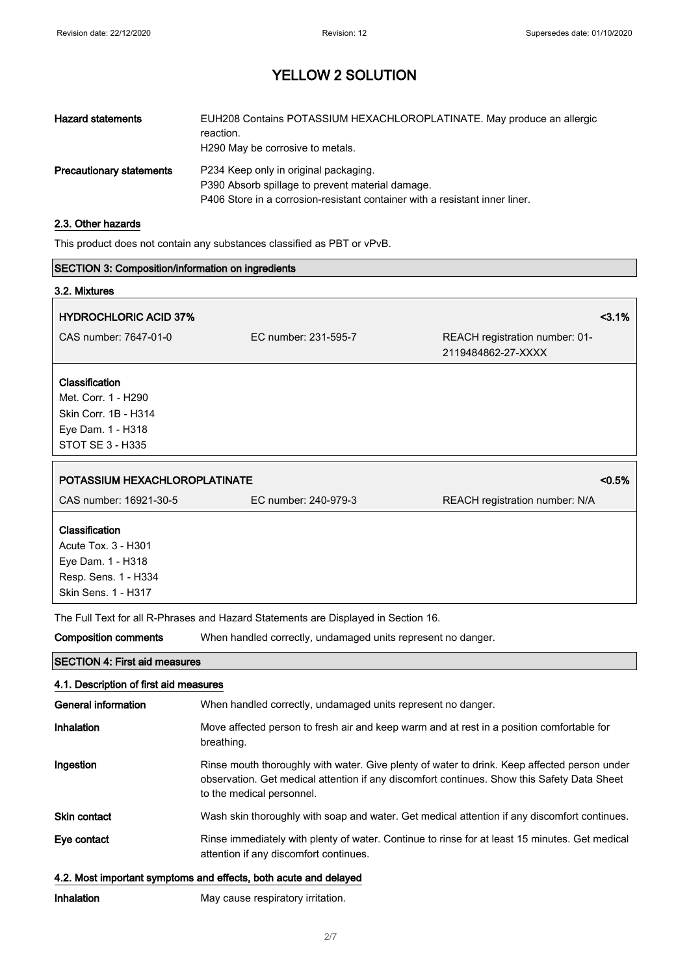| <b>Hazard statements</b>        | EUH208 Contains POTASSIUM HEXACHLOROPLATINATE. May produce an allergic<br>reaction.<br>H <sub>290</sub> May be corrosive to metals.                                      |
|---------------------------------|--------------------------------------------------------------------------------------------------------------------------------------------------------------------------|
| <b>Precautionary statements</b> | P234 Keep only in original packaging.<br>P390 Absorb spillage to prevent material damage.<br>P406 Store in a corrosion-resistant container with a resistant inner liner. |

## 2.3. Other hazards

This product does not contain any substances classified as PBT or vPvB.

| <b>SECTION 3: Composition/information on ingredients</b>                                                  |                                                                                    |                                                                                                                                                                                             |
|-----------------------------------------------------------------------------------------------------------|------------------------------------------------------------------------------------|---------------------------------------------------------------------------------------------------------------------------------------------------------------------------------------------|
| 3.2. Mixtures                                                                                             |                                                                                    |                                                                                                                                                                                             |
| <b>HYDROCHLORIC ACID 37%</b>                                                                              |                                                                                    | 3.1%                                                                                                                                                                                        |
| CAS number: 7647-01-0                                                                                     | EC number: 231-595-7                                                               | REACH registration number: 01-<br>2119484862-27-XXXX                                                                                                                                        |
| Classification<br>Met. Corr. 1 - H290<br>Skin Corr. 1B - H314<br>Eye Dam. 1 - H318<br>STOT SE 3 - H335    |                                                                                    |                                                                                                                                                                                             |
| POTASSIUM HEXACHLOROPLATINATE                                                                             |                                                                                    | < 0.5%                                                                                                                                                                                      |
| CAS number: 16921-30-5                                                                                    | EC number: 240-979-3                                                               | REACH registration number: N/A                                                                                                                                                              |
| Classification<br>Acute Tox. 3 - H301<br>Eye Dam. 1 - H318<br>Resp. Sens. 1 - H334<br>Skin Sens. 1 - H317 |                                                                                    |                                                                                                                                                                                             |
|                                                                                                           | The Full Text for all R-Phrases and Hazard Statements are Displayed in Section 16. |                                                                                                                                                                                             |
| <b>Composition comments</b>                                                                               | When handled correctly, undamaged units represent no danger.                       |                                                                                                                                                                                             |
| <b>SECTION 4: First aid measures</b>                                                                      |                                                                                    |                                                                                                                                                                                             |
| 4.1. Description of first aid measures                                                                    |                                                                                    |                                                                                                                                                                                             |
| <b>General information</b>                                                                                | When handled correctly, undamaged units represent no danger.                       |                                                                                                                                                                                             |
| Inhalation                                                                                                | breathing.                                                                         | Move affected person to fresh air and keep warm and at rest in a position comfortable for                                                                                                   |
| Ingestion                                                                                                 | to the medical personnel.                                                          | Rinse mouth thoroughly with water. Give plenty of water to drink. Keep affected person under<br>observation. Get medical attention if any discomfort continues. Show this Safety Data Sheet |
| Skin contact                                                                                              |                                                                                    | Wash skin thoroughly with soap and water. Get medical attention if any discomfort continues.                                                                                                |
| Eye contact                                                                                               | attention if any discomfort continues.                                             | Rinse immediately with plenty of water. Continue to rinse for at least 15 minutes. Get medical                                                                                              |
|                                                                                                           | 4.2. Most important symptoms and effects, both acute and delayed                   |                                                                                                                                                                                             |

Inhalation May cause respiratory irritation.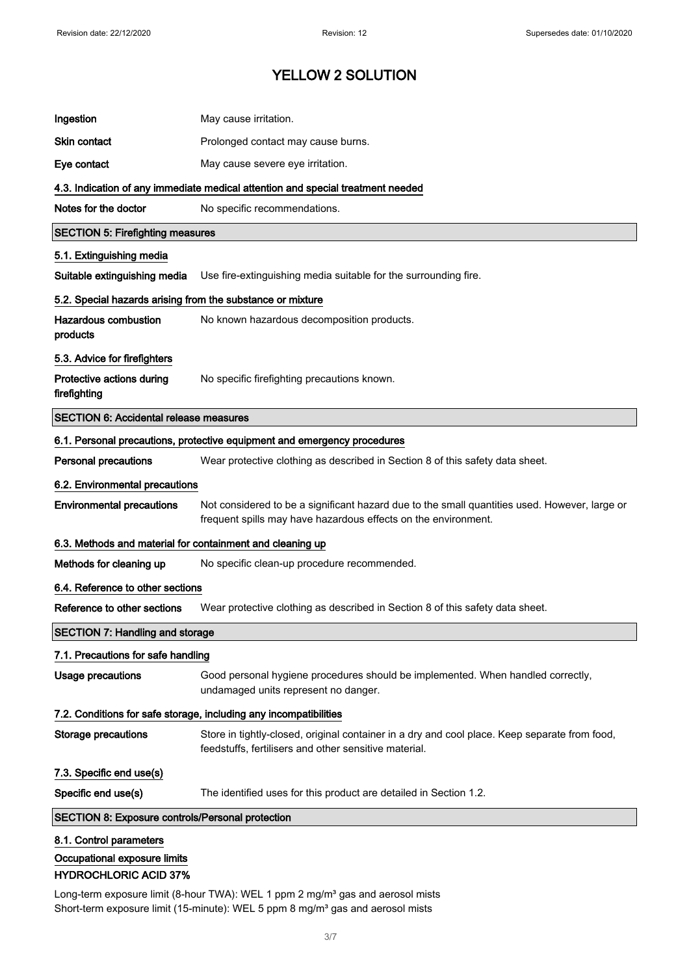| Ingestion                                                  | May cause irritation.                                                                                                                                           |
|------------------------------------------------------------|-----------------------------------------------------------------------------------------------------------------------------------------------------------------|
| <b>Skin contact</b>                                        | Prolonged contact may cause burns.                                                                                                                              |
| Eye contact                                                | May cause severe eye irritation.                                                                                                                                |
|                                                            | 4.3. Indication of any immediate medical attention and special treatment needed                                                                                 |
| Notes for the doctor                                       | No specific recommendations.                                                                                                                                    |
| <b>SECTION 5: Firefighting measures</b>                    |                                                                                                                                                                 |
| 5.1. Extinguishing media                                   |                                                                                                                                                                 |
| Suitable extinguishing media                               | Use fire-extinguishing media suitable for the surrounding fire.                                                                                                 |
| 5.2. Special hazards arising from the substance or mixture |                                                                                                                                                                 |
| <b>Hazardous combustion</b><br>products                    | No known hazardous decomposition products.                                                                                                                      |
| 5.3. Advice for firefighters                               |                                                                                                                                                                 |
| Protective actions during<br>firefighting                  | No specific firefighting precautions known.                                                                                                                     |
| <b>SECTION 6: Accidental release measures</b>              |                                                                                                                                                                 |
|                                                            | 6.1. Personal precautions, protective equipment and emergency procedures                                                                                        |
| <b>Personal precautions</b>                                | Wear protective clothing as described in Section 8 of this safety data sheet.                                                                                   |
| 6.2. Environmental precautions                             |                                                                                                                                                                 |
| <b>Environmental precautions</b>                           | Not considered to be a significant hazard due to the small quantities used. However, large or<br>frequent spills may have hazardous effects on the environment. |
| 6.3. Methods and material for containment and cleaning up  |                                                                                                                                                                 |
| Methods for cleaning up                                    | No specific clean-up procedure recommended.                                                                                                                     |
| 6.4. Reference to other sections                           |                                                                                                                                                                 |
| Reference to other sections                                | Wear protective clothing as described in Section 8 of this safety data sheet.                                                                                   |
| <b>SECTION 7: Handling and storage</b>                     |                                                                                                                                                                 |
| 7.1. Precautions for safe handling                         |                                                                                                                                                                 |
| <b>Usage precautions</b>                                   | Good personal hygiene procedures should be implemented. When handled correctly,<br>undamaged units represent no danger.                                         |
|                                                            | 7.2. Conditions for safe storage, including any incompatibilities                                                                                               |
| <b>Storage precautions</b>                                 | Store in tightly-closed, original container in a dry and cool place. Keep separate from food,<br>feedstuffs, fertilisers and other sensitive material.          |
| 7.3. Specific end use(s)                                   |                                                                                                                                                                 |
| Specific end use(s)                                        | The identified uses for this product are detailed in Section 1.2.                                                                                               |
| <b>SECTION 8: Exposure controls/Personal protection</b>    |                                                                                                                                                                 |
| 8.1. Control parameters                                    |                                                                                                                                                                 |
| Occupational exposure limits                               |                                                                                                                                                                 |
| <b>HYDROCHLORIC ACID 37%</b>                               |                                                                                                                                                                 |

Long-term exposure limit (8-hour TWA): WEL 1 ppm 2 mg/m<sup>3</sup> gas and aerosol mists Short-term exposure limit (15-minute): WEL 5 ppm 8 mg/m<sup>3</sup> gas and aerosol mists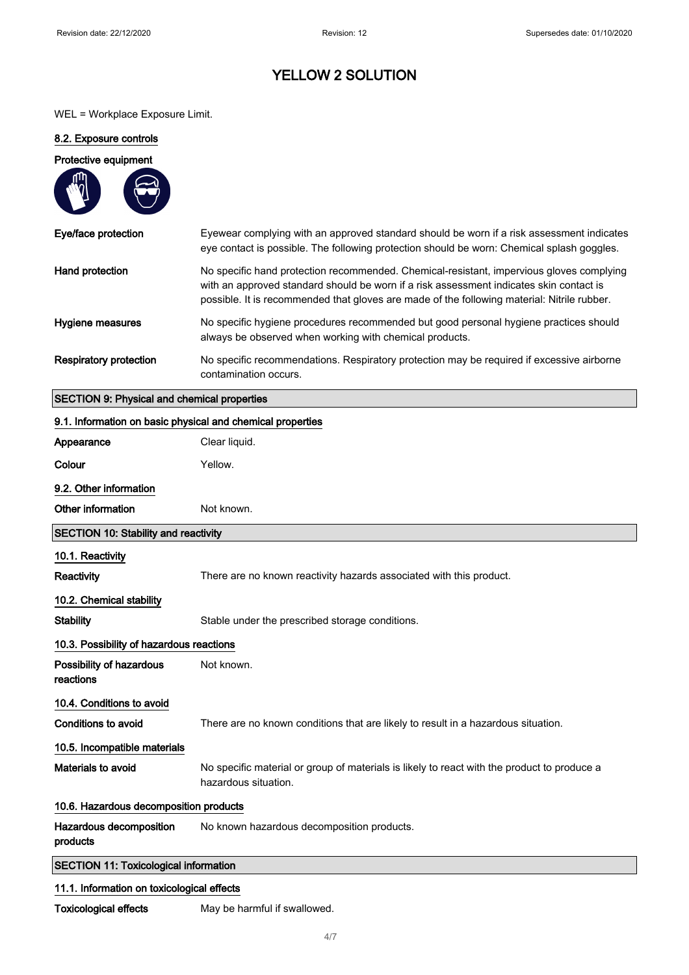WEL = Workplace Exposure Limit.

#### 8.2. Exposure controls

# Protective equipment Eye/face protection Eyewear complying with an approved standard should be worn if a risk assessment indicates eye contact is possible. The following protection should be worn: Chemical splash goggles. Hand protection No specific hand protection recommended. Chemical-resistant, impervious gloves complying with an approved standard should be worn if a risk assessment indicates skin contact is possible. It is recommended that gloves are made of the following material: Nitrile rubber. Hygiene measures No specific hygiene procedures recommended but good personal hygiene practices should always be observed when working with chemical products.

## Respiratory protection No specific recommendations. Respiratory protection may be required if excessive airborne contamination occurs.

#### SECTION 9: Physical and chemical properties

| 9.1. Information on basic physical and chemical properties |                                                                                                                     |
|------------------------------------------------------------|---------------------------------------------------------------------------------------------------------------------|
| Appearance                                                 | Clear liquid.                                                                                                       |
| Colour                                                     | Yellow.                                                                                                             |
| 9.2. Other information                                     |                                                                                                                     |
| Other information                                          | Not known.                                                                                                          |
| <b>SECTION 10: Stability and reactivity</b>                |                                                                                                                     |
| 10.1. Reactivity                                           |                                                                                                                     |
| Reactivity                                                 | There are no known reactivity hazards associated with this product.                                                 |
| 10.2. Chemical stability                                   |                                                                                                                     |
| <b>Stability</b>                                           | Stable under the prescribed storage conditions.                                                                     |
| 10.3. Possibility of hazardous reactions                   |                                                                                                                     |
| Possibility of hazardous<br>reactions                      | Not known.                                                                                                          |
| 10.4. Conditions to avoid                                  |                                                                                                                     |
| <b>Conditions to avoid</b>                                 | There are no known conditions that are likely to result in a hazardous situation.                                   |
| 10.5. Incompatible materials                               |                                                                                                                     |
| Materials to avoid                                         | No specific material or group of materials is likely to react with the product to produce a<br>hazardous situation. |
| 10.6. Hazardous decomposition products                     |                                                                                                                     |
| Hazardous decomposition<br>products                        | No known hazardous decomposition products.                                                                          |
| <b>SECTION 11: Toxicological information</b>               |                                                                                                                     |
| 11.1. Information on toxicological effects                 |                                                                                                                     |

Toxicological effects May be harmful if swallowed.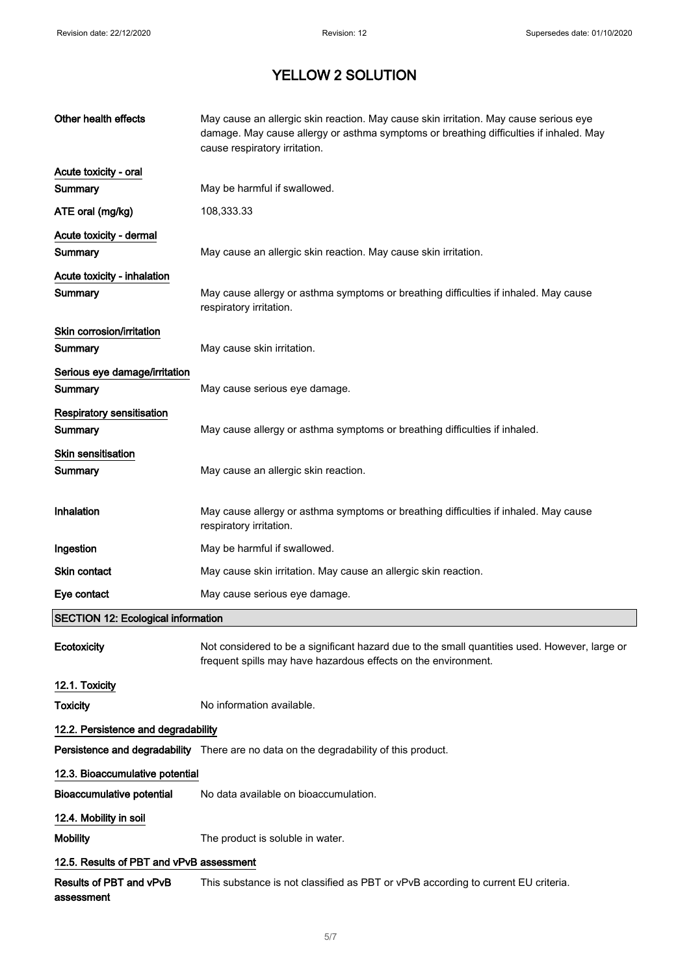| Other health effects                      | May cause an allergic skin reaction. May cause skin irritation. May cause serious eye<br>damage. May cause allergy or asthma symptoms or breathing difficulties if inhaled. May<br>cause respiratory irritation. |
|-------------------------------------------|------------------------------------------------------------------------------------------------------------------------------------------------------------------------------------------------------------------|
| Acute toxicity - oral                     |                                                                                                                                                                                                                  |
| Summary                                   | May be harmful if swallowed.                                                                                                                                                                                     |
| ATE oral (mg/kg)                          | 108,333.33                                                                                                                                                                                                       |
| Acute toxicity - dermal                   |                                                                                                                                                                                                                  |
| Summary                                   | May cause an allergic skin reaction. May cause skin irritation.                                                                                                                                                  |
| Acute toxicity - inhalation               |                                                                                                                                                                                                                  |
| Summary                                   | May cause allergy or asthma symptoms or breathing difficulties if inhaled. May cause<br>respiratory irritation.                                                                                                  |
| Skin corrosion/irritation                 |                                                                                                                                                                                                                  |
| Summary                                   | May cause skin irritation.                                                                                                                                                                                       |
| Serious eye damage/irritation<br>Summary  | May cause serious eye damage.                                                                                                                                                                                    |
| <b>Respiratory sensitisation</b>          |                                                                                                                                                                                                                  |
| Summary                                   | May cause allergy or asthma symptoms or breathing difficulties if inhaled.                                                                                                                                       |
| Skin sensitisation<br>Summary             | May cause an allergic skin reaction.                                                                                                                                                                             |
|                                           |                                                                                                                                                                                                                  |
| Inhalation                                | May cause allergy or asthma symptoms or breathing difficulties if inhaled. May cause<br>respiratory irritation.                                                                                                  |
| Ingestion                                 | May be harmful if swallowed.                                                                                                                                                                                     |
| <b>Skin contact</b>                       | May cause skin irritation. May cause an allergic skin reaction.                                                                                                                                                  |
| Eye contact                               | May cause serious eye damage.                                                                                                                                                                                    |
| <b>SECTION 12: Ecological information</b> |                                                                                                                                                                                                                  |
| Ecotoxicity                               | Not considered to be a significant hazard due to the small quantities used. However, large or<br>frequent spills may have hazardous effects on the environment.                                                  |
| 12.1. Toxicity                            |                                                                                                                                                                                                                  |
| <b>Toxicity</b>                           | No information available.                                                                                                                                                                                        |
| 12.2. Persistence and degradability       |                                                                                                                                                                                                                  |
|                                           | Persistence and degradability There are no data on the degradability of this product.                                                                                                                            |
| 12.3. Bioaccumulative potential           |                                                                                                                                                                                                                  |
| <b>Bioaccumulative potential</b>          | No data available on bioaccumulation.                                                                                                                                                                            |
| 12.4. Mobility in soil                    |                                                                                                                                                                                                                  |
| <b>Mobility</b>                           | The product is soluble in water.                                                                                                                                                                                 |
| 12.5. Results of PBT and vPvB assessment  |                                                                                                                                                                                                                  |
| Results of PBT and vPvB<br>assessment     | This substance is not classified as PBT or vPvB according to current EU criteria.                                                                                                                                |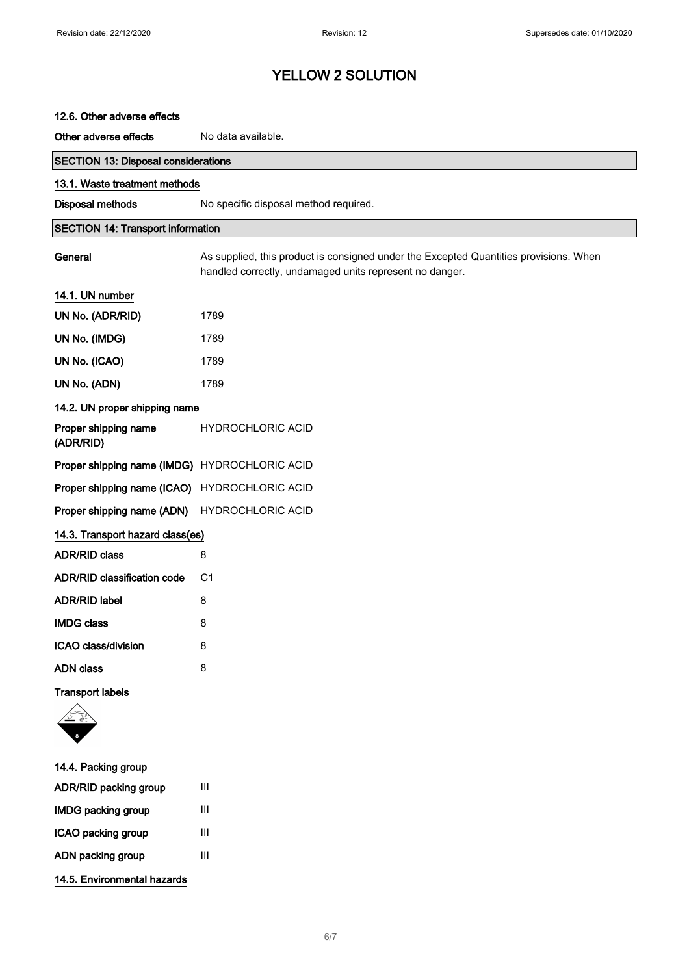| 12.6. Other adverse effects                   |                                                                                                                                                  |
|-----------------------------------------------|--------------------------------------------------------------------------------------------------------------------------------------------------|
| Other adverse effects                         | No data available.                                                                                                                               |
| <b>SECTION 13: Disposal considerations</b>    |                                                                                                                                                  |
| 13.1. Waste treatment methods                 |                                                                                                                                                  |
| Disposal methods                              | No specific disposal method required.                                                                                                            |
| <b>SECTION 14: Transport information</b>      |                                                                                                                                                  |
| General                                       | As supplied, this product is consigned under the Excepted Quantities provisions. When<br>handled correctly, undamaged units represent no danger. |
| 14.1. UN number                               |                                                                                                                                                  |
| UN No. (ADR/RID)                              | 1789                                                                                                                                             |
| UN No. (IMDG)                                 | 1789                                                                                                                                             |
| UN No. (ICAO)                                 | 1789                                                                                                                                             |
| UN No. (ADN)                                  | 1789                                                                                                                                             |
| 14.2. UN proper shipping name                 |                                                                                                                                                  |
| Proper shipping name<br>(ADR/RID)             | <b>HYDROCHLORIC ACID</b>                                                                                                                         |
| Proper shipping name (IMDG) HYDROCHLORIC ACID |                                                                                                                                                  |
| Proper shipping name (ICAO) HYDROCHLORIC ACID |                                                                                                                                                  |
| Proper shipping name (ADN)                    | <b>HYDROCHLORIC ACID</b>                                                                                                                         |
| 14.3. Transport hazard class(es)              |                                                                                                                                                  |
| <b>ADR/RID class</b>                          | 8                                                                                                                                                |
| <b>ADR/RID classification code</b>            | C1                                                                                                                                               |
| <b>ADR/RID label</b>                          | 8                                                                                                                                                |
| <b>IMDG class</b>                             | 8                                                                                                                                                |
| ICAO class/division                           | 8                                                                                                                                                |
| <b>ADN</b> class                              | 8                                                                                                                                                |
| <b>Transport labels</b>                       |                                                                                                                                                  |
|                                               |                                                                                                                                                  |
| 14.4 Packing group                            |                                                                                                                                                  |

| 14.4. Packing group         |   |
|-----------------------------|---|
| ADR/RID packing group       | Ш |
| <b>IMDG packing group</b>   | Ш |
| ICAO packing group          | Ш |
| ADN packing group           | Ш |
| 14.5. Environmental hazards |   |